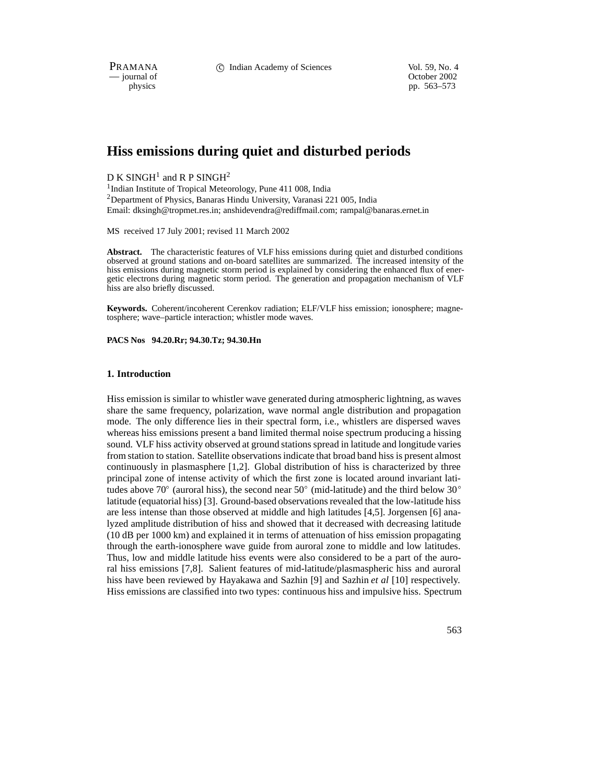PRAMANA 
compared in the C Indian Academy of Sciences Vol. 59, No. 4<br>
compared to the Corollation Corollary of Sciences Vol. 59, No. 4

— journal of Corober 2002 physics pp. 563–573

# **Hiss emissions during quiet and disturbed periods**

# $D K SIMGH<sup>1</sup>$  and R P SINGH<sup>2</sup>

<sup>1</sup>Indian Institute of Tropical Meteorology, Pune 411 008, India 2Department of Physics, Banaras Hindu University, Varanasi 221 005, India Email: dksingh@tropmet.res.in; anshidevendra@rediffmail.com; rampal@banaras.ernet.in

MS received 17 July 2001; revised 11 March 2002

**Abstract.** The characteristic features of VLF hiss emissions during quiet and disturbed conditions observed at ground stations and on-board satellites are summarized. The increased intensity of the hiss emissions during magnetic storm period is explained by considering the enhanced flux of energetic electrons during magnetic storm period. The generation and propagation mechanism of VLF hiss are also briefly discussed.

**Keywords.** Coherent/incoherent Cerenkov radiation; ELF/VLF hiss emission; ionosphere; magnetosphere; wave–particle interaction; whistler mode waves.

**PACS Nos 94.20.Rr; 94.30.Tz; 94.30.Hn**

#### **1. Introduction**

Hiss emission is similar to whistler wave generated during atmospheric lightning, as waves share the same frequency, polarization, wave normal angle distribution and propagation mode. The only difference lies in their spectral form, i.e., whistlers are dispersed waves whereas hiss emissions present a band limited thermal noise spectrum producing a hissing sound. VLF hiss activity observed at ground stations spread in latitude and longitude varies from station to station. Satellite observations indicate that broad band hiss is present almost continuously in plasmasphere [1,2]. Global distribution of hiss is characterized by three principal zone of intense activity of which the first zone is located around invariant latitudes above 70 $^{\circ}$  (auroral hiss), the second near 50 $^{\circ}$  (mid-latitude) and the third below 30 $^{\circ}$ latitude (equatorial hiss) [3]. Ground-based observations revealed that the low-latitude hiss are less intense than those observed at middle and high latitudes [4,5]. Jorgensen [6] analyzed amplitude distribution of hiss and showed that it decreased with decreasing latitude (10 dB per 1000 km) and explained it in terms of attenuation of hiss emission propagating through the earth-ionosphere wave guide from auroral zone to middle and low latitudes. Thus, low and middle latitude hiss events were also considered to be a part of the auroral hiss emissions [7,8]. Salient features of mid-latitude/plasmaspheric hiss and auroral hiss have been reviewed by Hayakawa and Sazhin [9] and Sazhin *et al* [10] respectively. Hiss emissions are classified into two types: continuous hiss and impulsive hiss. Spectrum

563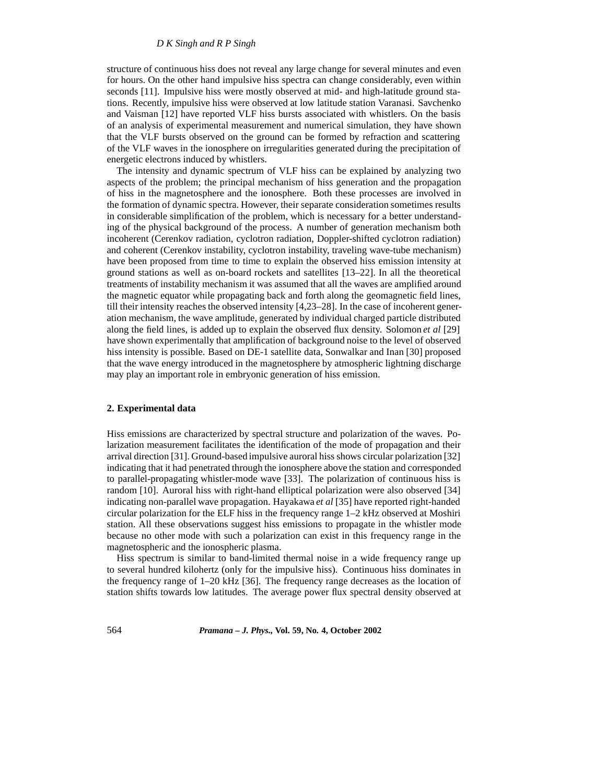#### *D K Singh and R P Singh*

structure of continuous hiss does not reveal any large change for several minutes and even for hours. On the other hand impulsive hiss spectra can change considerably, even within seconds [11]. Impulsive hiss were mostly observed at mid- and high-latitude ground stations. Recently, impulsive hiss were observed at low latitude station Varanasi. Savchenko and Vaisman [12] have reported VLF hiss bursts associated with whistlers. On the basis of an analysis of experimental measurement and numerical simulation, they have shown that the VLF bursts observed on the ground can be formed by refraction and scattering of the VLF waves in the ionosphere on irregularities generated during the precipitation of energetic electrons induced by whistlers.

The intensity and dynamic spectrum of VLF hiss can be explained by analyzing two aspects of the problem; the principal mechanism of hiss generation and the propagation of hiss in the magnetosphere and the ionosphere. Both these processes are involved in the formation of dynamic spectra. However, their separate consideration sometimes results in considerable simplification of the problem, which is necessary for a better understanding of the physical background of the process. A number of generation mechanism both incoherent (Cerenkov radiation, cyclotron radiation, Doppler-shifted cyclotron radiation) and coherent (Cerenkov instability, cyclotron instability, traveling wave-tube mechanism) have been proposed from time to time to explain the observed hiss emission intensity at ground stations as well as on-board rockets and satellites [13–22]. In all the theoretical treatments of instability mechanism it was assumed that all the waves are amplified around the magnetic equator while propagating back and forth along the geomagnetic field lines, till their intensity reaches the observed intensity [4,23–28]. In the case of incoherent generation mechanism, the wave amplitude, generated by individual charged particle distributed along the field lines, is added up to explain the observed flux density. Solomon *et al* [29] have shown experimentally that amplification of background noise to the level of observed hiss intensity is possible. Based on DE-1 satellite data, Sonwalkar and Inan [30] proposed that the wave energy introduced in the magnetosphere by atmospheric lightning discharge may play an important role in embryonic generation of hiss emission.

#### **2. Experimental data**

Hiss emissions are characterized by spectral structure and polarization of the waves. Polarization measurement facilitates the identification of the mode of propagation and their arrival direction [31]. Ground-based impulsive auroral hiss shows circular polarization [32] indicating that it had penetrated through the ionosphere above the station and corresponded to parallel-propagating whistler-mode wave [33]. The polarization of continuous hiss is random [10]. Auroral hiss with right-hand elliptical polarization were also observed [34] indicating non-parallel wave propagation. Hayakawa *et al* [35] have reported right-handed circular polarization for the ELF hiss in the frequency range 1–2 kHz observed at Moshiri station. All these observations suggest hiss emissions to propagate in the whistler mode because no other mode with such a polarization can exist in this frequency range in the magnetospheric and the ionospheric plasma.

Hiss spectrum is similar to band-limited thermal noise in a wide frequency range up to several hundred kilohertz (only for the impulsive hiss). Continuous hiss dominates in the frequency range of 1–20 kHz [36]. The frequency range decreases as the location of station shifts towards low latitudes. The average power flux spectral density observed at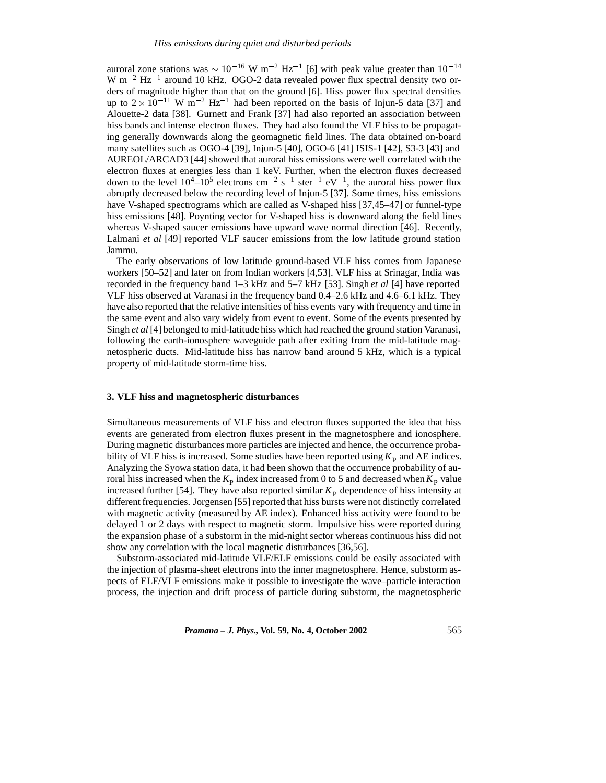auroral zone stations was  $\sim 10^{-16}$  W m<sup>-2</sup> Hz<sup>-1</sup> [6] with peak value greater than 10<sup>-14</sup> W  $m^{-2}$  Hz<sup>-1</sup> around 10 kHz. OGO-2 data revealed power flux spectral density two orders of magnitude higher than that on the ground [6]. Hiss power flux spectral densities up to  $2 \times 10^{-11}$  W m<sup>-2</sup> Hz<sup>-1</sup> had been reported on the basis of Injun-5 data [37] and Alouette-2 data [38]. Gurnett and Frank [37] had also reported an association between hiss bands and intense electron fluxes. They had also found the VLF hiss to be propagating generally downwards along the geomagnetic field lines. The data obtained on-board many satellites such as OGO-4 [39], Injun-5 [40], OGO-6 [41] ISIS-1 [42], S3-3 [43] and AUREOL/ARCAD3 [44] showed that auroral hiss emissions were well correlated with the electron fluxes at energies less than 1 keV. Further, when the electron fluxes decreased down to the level  $10^4$ – $10^5$  electrons cm<sup>-2</sup> s<sup>-1</sup> ster<sup>-1</sup> eV<sup>-1</sup>, the auroral hiss power flux abruptly decreased below the recording level of Injun-5 [37]. Some times, hiss emissions have V-shaped spectrograms which are called as V-shaped hiss [37,45–47] or funnel-type hiss emissions [48]. Poynting vector for V-shaped hiss is downward along the field lines whereas V-shaped saucer emissions have upward wave normal direction [46]. Recently, Lalmani *et al* [49] reported VLF saucer emissions from the low latitude ground station Jammu.

The early observations of low latitude ground-based VLF hiss comes from Japanese workers [50–52] and later on from Indian workers [4,53]. VLF hiss at Srinagar, India was recorded in the frequency band 1–3 kHz and 5–7 kHz [53]. Singh *et al* [4] have reported VLF hiss observed at Varanasi in the frequency band 0.4–2.6 kHz and 4.6–6.1 kHz. They have also reported that the relative intensities of hiss events vary with frequency and time in the same event and also vary widely from event to event. Some of the events presented by Singh *et al* [4] belonged to mid-latitude hiss which had reached the ground station Varanasi, following the earth-ionosphere waveguide path after exiting from the mid-latitude magnetospheric ducts. Mid-latitude hiss has narrow band around 5 kHz, which is a typical property of mid-latitude storm-time hiss.

## **3. VLF hiss and magnetospheric disturbances**

Simultaneous measurements of VLF hiss and electron fluxes supported the idea that hiss events are generated from electron fluxes present in the magnetosphere and ionosphere. During magnetic disturbances more particles are injected and hence, the occurrence probability of VLF hiss is increased. Some studies have been reported using  $K_{\rm P}$  and AE indices. Analyzing the Syowa station data, it had been shown that the occurrence probability of auroral hiss increased when the  $K_p$  index increased from 0 to 5 and decreased when  $K_p$  value increased further [54]. They have also reported similar  $K<sub>P</sub>$  dependence of hiss intensity at different frequencies. Jorgensen [55] reported that hiss bursts were not distinctly correlated with magnetic activity (measured by AE index). Enhanced hiss activity were found to be delayed 1 or 2 days with respect to magnetic storm. Impulsive hiss were reported during the expansion phase of a substorm in the mid-night sector whereas continuous hiss did not show any correlation with the local magnetic disturbances [36,56].

Substorm-associated mid-latitude VLF/ELF emissions could be easily associated with the injection of plasma-sheet electrons into the inner magnetosphere. Hence, substorm aspects of ELF/VLF emissions make it possible to investigate the wave–particle interaction process, the injection and drift process of particle during substorm, the magnetospheric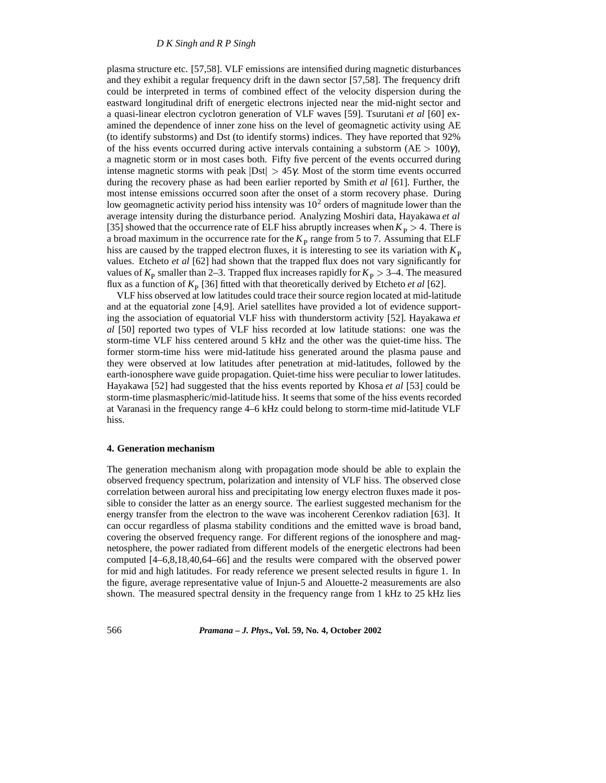plasma structure etc. [57,58]. VLF emissions are intensified during magnetic disturbances and they exhibit a regular frequency drift in the dawn sector [57,58]. The frequency drift could be interpreted in terms of combined effect of the velocity dispersion during the eastward longitudinal drift of energetic electrons injected near the mid-night sector and a quasi-linear electron cyclotron generation of VLF waves [59]. Tsurutani *et al* [60] examined the dependence of inner zone hiss on the level of geomagnetic activity using AE (to identify substorms) and Dst (to identify storms) indices. They have reported that 92% of the hiss events occurred during active intervals containing a substorm (AE  $> 100\gamma$ ), a magnetic storm or in most cases both. Fifty five percent of the events occurred during intense magnetic storms with peak  $|Dist| > 45\gamma$ . Most of the storm time events occurred during the recovery phase as had been earlier reported by Smith *et al* [61]. Further, the most intense emissions occurred soon after the onset of a storm recovery phase. During low geomagnetic activity period hiss intensity was  $10<sup>2</sup>$  orders of magnitude lower than the average intensity during the disturbance period. Analyzing Moshiri data, Hayakawa *et al* [35] showed that the occurrence rate of ELF hiss abruptly increases when  $K_p > 4$ . There is a broad maximum in the occurrence rate for the  $K<sub>P</sub>$  range from 5 to 7. Assuming that ELF hiss are caused by the trapped electron fluxes, it is interesting to see its variation with  $K<sub>p</sub>$ values. Etcheto *et al* [62] had shown that the trapped flux does not vary significantly for values of  $K_{\rm p}$  smaller than 2–3. Trapped flux increases rapidly for  $K_{\rm p} > 3-4$ . The measured flux as a function of  $K_{\rm p}$  [36] fitted with that theoretically derived by Etcheto *et al* [62].

VLF hiss observed at low latitudes could trace their source region located at mid-latitude and at the equatorial zone [4,9]. Ariel satellites have provided a lot of evidence supporting the association of equatorial VLF hiss with thunderstorm activity [52]. Hayakawa *et al* [50] reported two types of VLF hiss recorded at low latitude stations: one was the storm-time VLF hiss centered around 5 kHz and the other was the quiet-time hiss. The former storm-time hiss were mid-latitude hiss generated around the plasma pause and they were observed at low latitudes after penetration at mid-latitudes, followed by the earth-ionosphere wave guide propagation. Quiet-time hiss were peculiar to lower latitudes. Hayakawa [52] had suggested that the hiss events reported by Khosa *et al* [53] could be storm-time plasmaspheric/mid-latitude hiss. It seems that some of the hiss events recorded at Varanasi in the frequency range 4–6 kHz could belong to storm-time mid-latitude VLF hiss.

#### **4. Generation mechanism**

The generation mechanism along with propagation mode should be able to explain the observed frequency spectrum, polarization and intensity of VLF hiss. The observed close correlation between auroral hiss and precipitating low energy electron fluxes made it possible to consider the latter as an energy source. The earliest suggested mechanism for the energy transfer from the electron to the wave was incoherent Cerenkov radiation [63]. It can occur regardless of plasma stability conditions and the emitted wave is broad band, covering the observed frequency range. For different regions of the ionosphere and magnetosphere, the power radiated from different models of the energetic electrons had been computed [4–6,8,18,40,64–66] and the results were compared with the observed power for mid and high latitudes. For ready reference we present selected results in figure 1. In the figure, average representative value of Injun-5 and Alouette-2 measurements are also shown. The measured spectral density in the frequency range from 1 kHz to 25 kHz lies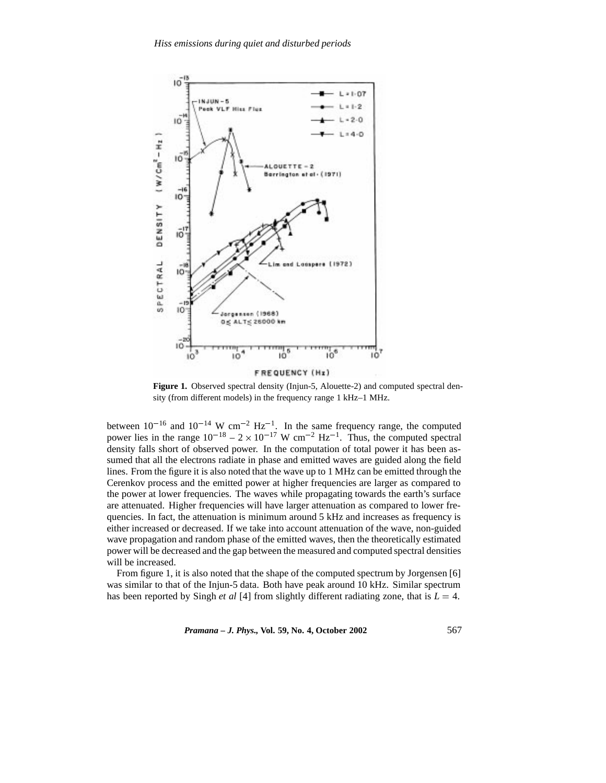

**Figure 1.** Observed spectral density (Injun-5, Alouette-2) and computed spectral den-

sity (from different models) in the frequency range 1 kHz–1 MHz.

between  $10^{-16}$  and  $10^{-14}$  W cm<sup>-2</sup> Hz<sup>-1</sup>. In the same frequency range, the computed power lies in the range  $10^{-18} - 2 \times 10^{-17}$  W cm<sup>-2</sup> Hz<sup>-1</sup>. Thus, the computed spectral density falls short of observed power. In the computation of total power it has been assumed that all the electrons radiate in phase and emitted waves are guided along the field lines. From the figure it is also noted that the wave up to 1 MHz can be emitted through the Cerenkov process and the emitted power at higher frequencies are larger as compared to the power at lower frequencies. The waves while propagating towards the earth's surface are attenuated. Higher frequencies will have larger attenuation as compared to lower frequencies. In fact, the attenuation is minimum around 5 kHz and increases as frequency is either increased or decreased. If we take into account attenuation of the wave, non-guided wave propagation and random phase of the emitted waves, then the theoretically estimated power will be decreased and the gap between the measured and computed spectral densities will be increased.

From figure 1, it is also noted that the shape of the computed spectrum by Jorgensen [6] was similar to that of the Injun-5 data. Both have peak around 10 kHz. Similar spectrum has been reported by Singh *et al* [4] from slightly different radiating zone, that is  $L = 4$ .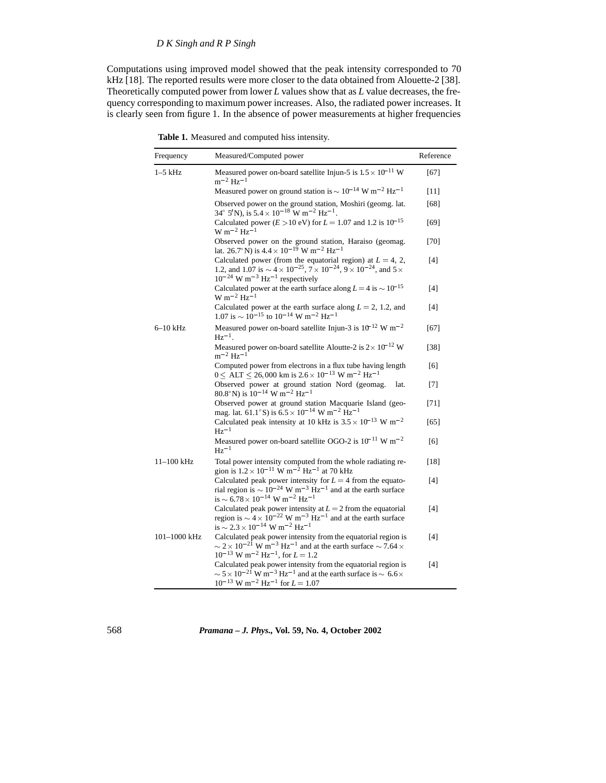# *D K Singh and R P Singh*

Computations using improved model showed that the peak intensity corresponded to 70 kHz [18]. The reported results were more closer to the data obtained from Alouette-2 [38]. Theoretically computed power from lower *L* values show that as *L* value decreases, the frequency corresponding to maximum power increases. Also, the radiated power increases. It is clearly seen from figure 1. In the absence of power measurements at higher frequencies

**Table 1.** Measured and computed hiss intensity.

| Frequency      | Measured/Computed power                                                                                                                                                                                                                                           | Reference |
|----------------|-------------------------------------------------------------------------------------------------------------------------------------------------------------------------------------------------------------------------------------------------------------------|-----------|
| $1-5$ kHz      | Measured power on-board satellite Injun-5 is $1.5 \times 10^{-11}$ W<br>$m^{-2}$ Hz <sup>-1</sup>                                                                                                                                                                 | [67]      |
|                | Measured power on ground station is $\sim 10^{-14}$ W m <sup>-2</sup> Hz <sup>-1</sup>                                                                                                                                                                            | $[11]$    |
|                | Observed power on the ground station, Moshiri (geomg. lat.<br>$34^{\circ}$ 5'N), is $5.4 \times 10^{-18}$ W m <sup>-2</sup> Hz <sup>-1</sup> .                                                                                                                    | [68]      |
|                | Calculated power ( $E > 10$ eV) for $L = 1.07$ and 1.2 is $10^{-15}$<br>$W m^{-2} Hz^{-1}$                                                                                                                                                                        | [69]      |
|                | Observed power on the ground station, Haraiso (geomag.<br>lat. 26.7°N) is $4.4 \times 10^{-19}$ W m <sup>-2</sup> Hz <sup>-1</sup>                                                                                                                                | $[70]$    |
|                | Calculated power (from the equatorial region) at $L = 4, 2,$<br>1.2, and 1.07 is $\sim$ 4 $\times$ 10 <sup>-25</sup> , 7 $\times$ 10 <sup>-24</sup> , 9 $\times$ 10 <sup>-24</sup> , and 5 $\times$<br>$10^{-24}$ W m <sup>-3</sup> Hz <sup>-1</sup> respectively | $[4]$     |
|                | Calculated power at the earth surface along $L = 4$ is $\sim 10^{-15}$<br>$W m^{-2} Hz^{-1}$                                                                                                                                                                      | [4]       |
|                | Calculated power at the earth surface along $L = 2$ , 1.2, and<br>$1.07$ is $\sim 10^{-15}$ to $10^{-14}$ W m <sup>-2</sup> Hz <sup>-1</sup>                                                                                                                      | [4]       |
| $6-10$ kHz     | Measured power on-board satellite Injun-3 is $10^{-12}$ W m <sup>-2</sup><br>$Hz^{-1}$ .                                                                                                                                                                          | [67]      |
|                | Measured power on-board satellite Aloutte-2 is $2 \times 10^{-12}$ W<br>$m^{-2}$ Hz <sup>-1</sup>                                                                                                                                                                 | $[38]$    |
|                | Computed power from electrons in a flux tube having length<br>$0 < \overline{ALT} < 26,000$ km is $2.6 \times 10^{-13}$ W m <sup>-2</sup> Hz <sup>-1</sup>                                                                                                        | [6]       |
|                | Observed power at ground station Nord (geomag.<br>lat.<br>80.8°N) is $10^{-14}$ W m <sup>-2</sup> Hz <sup>-1</sup>                                                                                                                                                | $[7]$     |
|                | Observed power at ground station Macquarie Island (geo-<br>mag. lat. 61.1° S) is $6.5 \times 10^{-14}$ W m <sup>-2</sup> Hz <sup>-1</sup>                                                                                                                         | $[71]$    |
|                | Calculated peak intensity at 10 kHz is $3.5 \times 10^{-13}$ W m <sup>-2</sup><br>$Hz^{-1}$                                                                                                                                                                       | [65]      |
|                | Measured power on-board satellite OGO-2 is $10^{-11}$ W m <sup>-2</sup><br>$Hz^{-1}$                                                                                                                                                                              | [6]       |
| $11 - 100$ kHz | Total power intensity computed from the whole radiating re-<br>gion is $1.2 \times 10^{-11}$ W m <sup>-2</sup> Hz <sup>-1</sup> at 70 kHz                                                                                                                         | [18]      |
|                | Calculated peak power intensity for $L = 4$ from the equato-<br>rial region is $\sim 10^{-24}$ W m <sup>-3</sup> Hz <sup>-1</sup> and at the earth surface<br>is $\sim 6.78 \times 10^{-14}$ W m <sup>-2</sup> Hz <sup>-1</sup>                                   | [4]       |
|                | Calculated peak power intensity at $L = 2$ from the equatorial<br>region is $\sim 4 \times 10^{-22}$ W m <sup>-3</sup> Hz <sup>-1</sup> and at the earth surface<br>is $\sim$ 2.3 $\times$ 10 <sup>-14</sup> W m <sup>-2</sup> Hz <sup>-1</sup>                   | [4]       |
| 101-1000 kHz   | Calculated peak power intensity from the equatorial region is<br>$\sim$ 2 × 10 <sup>-21</sup> W m <sup>-3</sup> Hz <sup>-1</sup> and at the earth surface $\sim$ 7.64 ×<br>$10^{-13}$ W m <sup>-2</sup> Hz <sup>-1</sup> , for L = 1.2                            | $[4]$     |
|                | Calculated peak power intensity from the equatorial region is<br>$\sim$ 5 $\times$ 10 <sup>-21</sup> W m <sup>-3</sup> Hz <sup>-1</sup> and at the earth surface is $\sim$ 6.6 $\times$<br>$10^{-13}$ W m <sup>-2</sup> Hz <sup>-1</sup> for $L = 1.07$           | $[4]$     |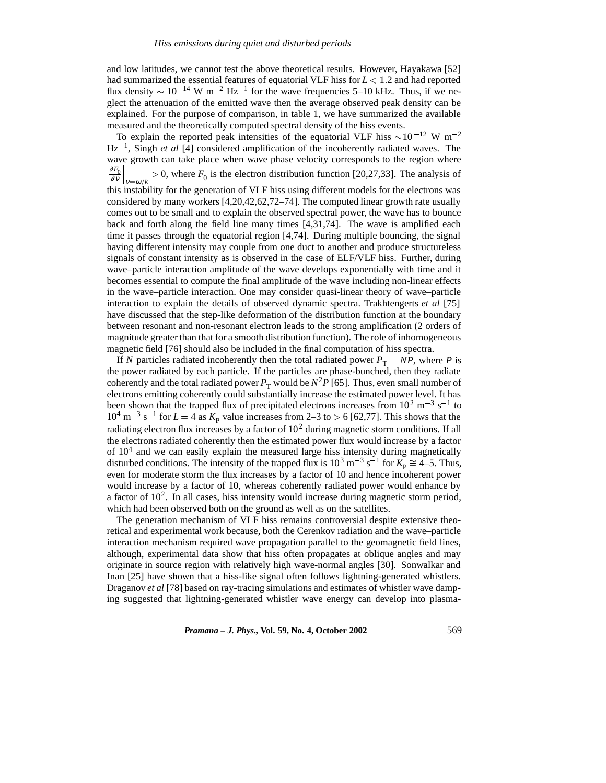and low latitudes, we cannot test the above theoretical results. However, Hayakawa [52] had summarized the essential features of equatorial VLF hiss for *L* <sup>&</sup>lt; 1:2 and had reported flux density  $\sim 10^{-14}$  W m<sup>-2</sup> Hz<sup>-1</sup> for the wave frequencies 5–10 kHz. Thus, if we neglect the attenuation of the emitted wave then the average observed peak density can be explained. For the purpose of comparison, in table 1, we have summarized the available measured and the theoretically computed spectral density of the hiss events.

To explain the reported peak intensities of the equatorial VLF hiss  $\sim 10^{-12}$  W m<sup>-2</sup>  $Hz^{-1}$ , Singh *et al* [4] considered amplification of the incoherently radiated waves. The wave growth can take place when wave phase velocity corresponds to the region where <sup>∂</sup>*F*<sup>0</sup> ∂ <sup>ν</sup>  $\vert_{v=\omega/k} > 0$ , where  $F_0$  is the electron distribution function [20,27,33]. The analysis of this instability for the generation of VLF hiss using different models for the electrons was considered by many workers [4,20,42,62,72–74]. The computed linear growth rate usually comes out to be small and to explain the observed spectral power, the wave has to bounce back and forth along the field line many times [4,31,74]. The wave is amplified each time it passes through the equatorial region [4,74]. During multiple bouncing, the signal having different intensity may couple from one duct to another and produce structureless signals of constant intensity as is observed in the case of ELF/VLF hiss. Further, during wave–particle interaction amplitude of the wave develops exponentially with time and it becomes essential to compute the final amplitude of the wave including non-linear effects in the wave–particle interaction. One may consider quasi-linear theory of wave–particle interaction to explain the details of observed dynamic spectra. Trakhtengerts *et al* [75] have discussed that the step-like deformation of the distribution function at the boundary between resonant and non-resonant electron leads to the strong amplification (2 orders of magnitude greater than that for a smooth distribution function). The role of inhomogeneous magnetic field [76] should also be included in the final computation of hiss spectra.

If *N* particles radiated incoherently then the total radiated power  $P<sub>T</sub> = NP$ , where *P* is the power radiated by each particle. If the particles are phase-bunched, then they radiate coherently and the total radiated power  $P<sub>T</sub>$  would be  $N<sup>2</sup>P$  [65]. Thus, even small number of electrons emitting coherently could substantially increase the estimated power level. It has been shown that the trapped flux of precipitated electrons increases from  $10^2$  m<sup>-3</sup> s<sup>-1</sup> to  $10^4$  m<sup>-3</sup> s<sup>-1</sup> for *L* = 4 as  $K_p$  value increases from 2-3 to > 6 [62,77]. This shows that the radiating electron flux increases by a factor of  $10<sup>2</sup>$  during magnetic storm conditions. If all the electrons radiated coherently then the estimated power flux would increase by a factor of  $10<sup>4</sup>$  and we can easily explain the measured large hiss intensity during magnetically disturbed conditions. The intensity of the trapped flux is  $10^3$  m<sup>-3</sup> s<sup>-1</sup> for  $K_p \cong 4-5$ . Thus, even for moderate storm the flux increases by a factor of 10 and hence incoherent power would increase by a factor of 10, whereas coherently radiated power would enhance by a factor of  $10<sup>2</sup>$ . In all cases, hiss intensity would increase during magnetic storm period, which had been observed both on the ground as well as on the satellites.

The generation mechanism of VLF hiss remains controversial despite extensive theoretical and experimental work because, both the Cerenkov radiation and the wave–particle interaction mechanism required wave propagation parallel to the geomagnetic field lines, although, experimental data show that hiss often propagates at oblique angles and may originate in source region with relatively high wave-normal angles [30]. Sonwalkar and Inan [25] have shown that a hiss-like signal often follows lightning-generated whistlers. Draganov *et al* [78] based on ray-tracing simulations and estimates of whistler wave damping suggested that lightning-generated whistler wave energy can develop into plasma-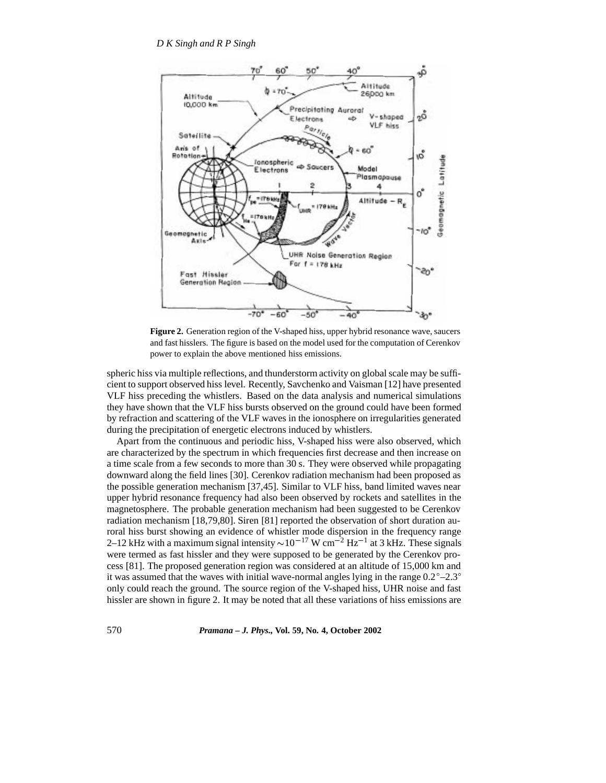

Figure 2. Generation region of the V-shaped hiss, upper hybrid resonance wave, saucers and fast hisslers. The figure is based on the model used for the computation of Cerenkov power to explain the above mentioned hiss emissions.

spheric hiss via multiple reflections, and thunderstorm activity on global scale may be sufficient to support observed hiss level. Recently, Savchenko and Vaisman [12] have presented VLF hiss preceding the whistlers. Based on the data analysis and numerical simulations they have shown that the VLF hiss bursts observed on the ground could have been formed by refraction and scattering of the VLF waves in the ionosphere on irregularities generated during the precipitation of energetic electrons induced by whistlers.

Apart from the continuous and periodic hiss, V-shaped hiss were also observed, which are characterized by the spectrum in which frequencies first decrease and then increase on a time scale from a few seconds to more than 30 s. They were observed while propagating downward along the field lines [30]. Cerenkov radiation mechanism had been proposed as the possible generation mechanism [37,45]. Similar to VLF hiss, band limited waves near upper hybrid resonance frequency had also been observed by rockets and satellites in the magnetosphere. The probable generation mechanism had been suggested to be Cerenkov radiation mechanism [18,79,80]. Siren [81] reported the observation of short duration auroral hiss burst showing an evidence of whistler mode dispersion in the frequency range 2–12 kHz with a maximum signal intensity  $\sim$ 10<sup>-17</sup> W cm<sup>-2</sup> Hz<sup>-1</sup> at 3 kHz. These signals were termed as fast hissler and they were supposed to be generated by the Cerenkov process [81]. The proposed generation region was considered at an altitude of 15,000 km and it was assumed that the waves with initial wave-normal angles lying in the range  $0.2^{\circ}$ –2.3 $^{\circ}$ only could reach the ground. The source region of the V-shaped hiss, UHR noise and fast hissler are shown in figure 2. It may be noted that all these variations of hiss emissions are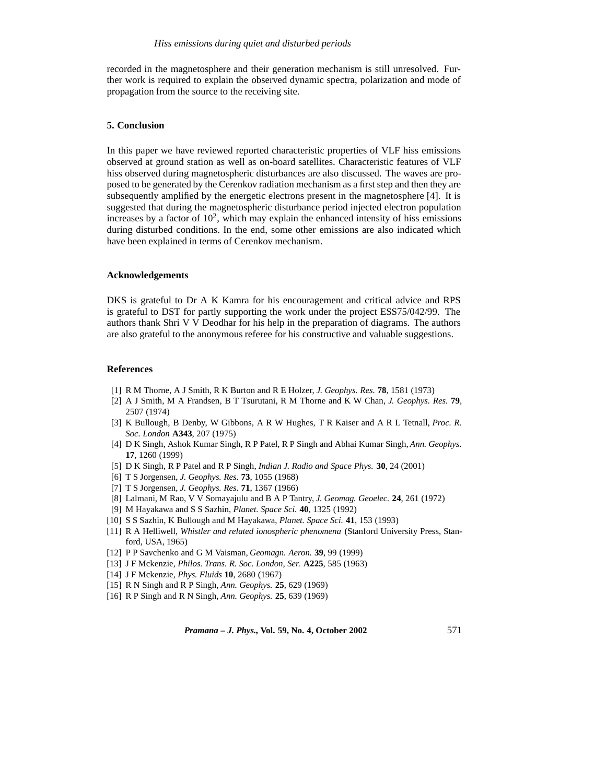recorded in the magnetosphere and their generation mechanism is still unresolved. Further work is required to explain the observed dynamic spectra, polarization and mode of propagation from the source to the receiving site.

## **5. Conclusion**

In this paper we have reviewed reported characteristic properties of VLF hiss emissions observed at ground station as well as on-board satellites. Characteristic features of VLF hiss observed during magnetospheric disturbances are also discussed. The waves are proposed to be generated by the Cerenkov radiation mechanism as a first step and then they are subsequently amplified by the energetic electrons present in the magnetosphere [4]. It is suggested that during the magnetospheric disturbance period injected electron population increases by a factor of  $10<sup>2</sup>$ , which may explain the enhanced intensity of hiss emissions during disturbed conditions. In the end, some other emissions are also indicated which have been explained in terms of Cerenkov mechanism.

## **Acknowledgements**

DKS is grateful to Dr A K Kamra for his encouragement and critical advice and RPS is grateful to DST for partly supporting the work under the project ESS75/042/99. The authors thank Shri V V Deodhar for his help in the preparation of diagrams. The authors are also grateful to the anonymous referee for his constructive and valuable suggestions.

# **References**

- [1] R M Thorne, A J Smith, R K Burton and R E Holzer, *J. Geophys. Res.* **78**, 1581 (1973)
- [2] A J Smith, M A Frandsen, B T Tsurutani, R M Thorne and K W Chan, *J. Geophys. Res.* **79**, 2507 (1974)
- [3] K Bullough, B Denby, W Gibbons, A R W Hughes, T R Kaiser and A R L Tetnall, *Proc. R. Soc. London* **A343**, 207 (1975)
- [4] D K Singh, Ashok Kumar Singh, R P Patel, R P Singh and Abhai Kumar Singh, *Ann. Geophys.* **17**, 1260 (1999)
- [5] D K Singh, R P Patel and R P Singh, *Indian J. Radio and Space Phys.* **30**, 24 (2001)
- [6] T S Jorgensen, *J. Geophys. Res.* **73**, 1055 (1968)
- [7] T S Jorgensen, *J. Geophys. Res.* **71**, 1367 (1966)
- [8] Lalmani, M Rao, V V Somayajulu and B A P Tantry, *J. Geomag. Geoelec.* **24**, 261 (1972)
- [9] M Hayakawa and S S Sazhin, *Planet. Space Sci.* **40**, 1325 (1992)
- [10] S S Sazhin, K Bullough and M Hayakawa, *Planet. Space Sci.* **41**, 153 (1993)
- [11] R A Helliwell, *Whistler and related ionospheric phenomena* (Stanford University Press, Stanford, USA, 1965)
- [12] P P Savchenko and G M Vaisman, *Geomagn. Aeron.* **39**, 99 (1999)
- [13] J F Mckenzie, *Philos. Trans. R. Soc. London, Ser.* **A225**, 585 (1963)
- [14] J F Mckenzie, *Phys. Fluids* **10**, 2680 (1967)
- [15] R N Singh and R P Singh, *Ann. Geophys.* **25**, 629 (1969)
- [16] R P Singh and R N Singh, *Ann. Geophys.* **25**, 639 (1969)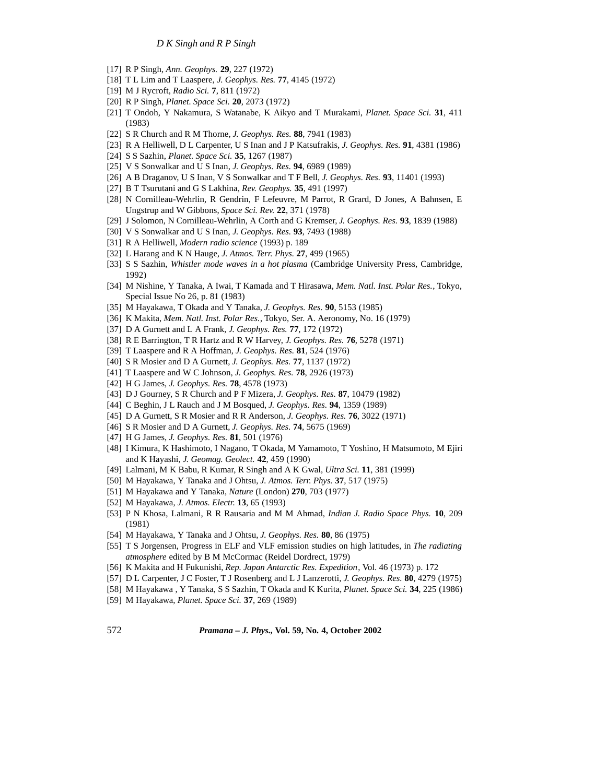- [17] R P Singh, *Ann. Geophys.* **29**, 227 (1972)
- [18] T L Lim and T Laaspere, *J. Geophys. Res.* **77**, 4145 (1972)
- [19] M J Rycroft, *Radio Sci.* **7**, 811 (1972)
- [20] R P Singh, *Planet. Space Sci.* **20**, 2073 (1972)
- [21] T Ondoh, Y Nakamura, S Watanabe, K Aikyo and T Murakami, *Planet. Space Sci.* **31**, 411 (1983)
- [22] S R Church and R M Thorne, *J. Geophys. Res.* **88**, 7941 (1983)
- [23] R A Helliwell, D L Carpenter, U S Inan and J P Katsufrakis, *J. Geophys. Res.* **91**, 4381 (1986)
- [24] S S Sazhin, *Planet. Space Sci.* **35**, 1267 (1987)
- [25] V S Sonwalkar and U S Inan, *J. Geophys. Res.* **94**, 6989 (1989)
- [26] A B Draganov, U S Inan, V S Sonwalkar and T F Bell, *J. Geophys. Res.* **93**, 11401 (1993)
- [27] B T Tsurutani and G S Lakhina, *Rev. Geophys.* **35**, 491 (1997)
- [28] N Cornilleau-Wehrlin, R Gendrin, F Lefeuvre, M Parrot, R Grard, D Jones, A Bahnsen, E Ungstrup and W Gibbons, *Space Sci. Rev.* **22**, 371 (1978)
- [29] J Solomon, N Cornilleau-Wehrlin, A Corth and G Kremser, *J. Geophys. Res.* **93**, 1839 (1988)
- [30] V S Sonwalkar and U S Inan, *J. Geophys. Res.* **93**, 7493 (1988)
- [31] R A Helliwell, *Modern radio science* (1993) p. 189
- [32] L Harang and K N Hauge, *J. Atmos. Terr. Phys.* **27**, 499 (1965)
- [33] S S Sazhin, *Whistler mode waves in a hot plasma* (Cambridge University Press, Cambridge, 1992)
- [34] M Nishine, Y Tanaka, A Iwai, T Kamada and T Hirasawa, *Mem. Natl. Inst. Polar Res.*, Tokyo, Special Issue No 26, p. 81 (1983)
- [35] M Hayakawa, T Okada and Y Tanaka, *J. Geophys. Res.* **90**, 5153 (1985)
- [36] K Makita, *Mem. Natl. Inst. Polar Res.*, Tokyo, Ser. A. Aeronomy, No. 16 (1979)
- [37] D A Gurnett and L A Frank, *J. Geophys. Res.* **77**, 172 (1972)
- [38] R E Barrington, T R Hartz and R W Harvey, *J. Geophys. Res.* **76**, 5278 (1971)
- [39] T Laaspere and R A Hoffman, *J. Geophys. Res.* **81**, 524 (1976)
- [40] S R Mosier and D A Gurnett, *J. Geophys. Res.* **77**, 1137 (1972)
- [41] T Laaspere and W C Johnson, *J. Geophys. Res.* **78**, 2926 (1973)
- [42] H G James, *J. Geophys. Res.* **78**, 4578 (1973)
- [43] D J Gourney, S R Church and P F Mizera, *J. Geophys. Res.* **87**, 10479 (1982)
- [44] C Beghin, J L Rauch and J M Bosqued, *J. Geophys. Res.* **94**, 1359 (1989)
- [45] D A Gurnett, S R Mosier and R R Anderson, *J. Geophys. Res.* **76**, 3022 (1971)
- [46] S R Mosier and D A Gurnett, *J. Geophys. Res.* **74**, 5675 (1969)
- [47] H G James, *J. Geophys. Res.* **81**, 501 (1976)
- [48] I Kimura, K Hashimoto, I Nagano, T Okada, M Yamamoto, T Yoshino, H Matsumoto, M Ejiri and K Hayashi, *J. Geomag. Geolect.* **42**, 459 (1990)
- [49] Lalmani, M K Babu, R Kumar, R Singh and A K Gwal, *Ultra Sci.* **11**, 381 (1999)
- [50] M Hayakawa, Y Tanaka and J Ohtsu, *J. Atmos. Terr. Phys.* **37**, 517 (1975)
- [51] M Hayakawa and Y Tanaka, *Nature* (London) **270**, 703 (1977)
- [52] M Hayakawa, *J. Atmos. Electr.* **13**, 65 (1993)
- [53] P N Khosa, Lalmani, R R Rausaria and M M Ahmad, *Indian J. Radio Space Phys.* **10**, 209 (1981)
- [54] M Hayakawa, Y Tanaka and J Ohtsu, *J. Geophys. Res.* **80**, 86 (1975)
- [55] T S Jorgensen, Progress in ELF and VLF emission studies on high latitudes, in *The radiating atmosphere* edited by B M McCormac (Reidel Dordrect, 1979)
- [56] K Makita and H Fukunishi, *Rep. Japan Antarctic Res. Expedition*, Vol. 46 (1973) p. 172
- [57] D L Carpenter, J C Foster, T J Rosenberg and L J Lanzerotti, *J. Geophys. Res.* **80**, 4279 (1975)
- [58] M Hayakawa , Y Tanaka, S S Sazhin, T Okada and K Kurita, *Planet. Space Sci.* **34**, 225 (1986)
- [59] M Hayakawa, *Planet. Space Sci.* **37**, 269 (1989)